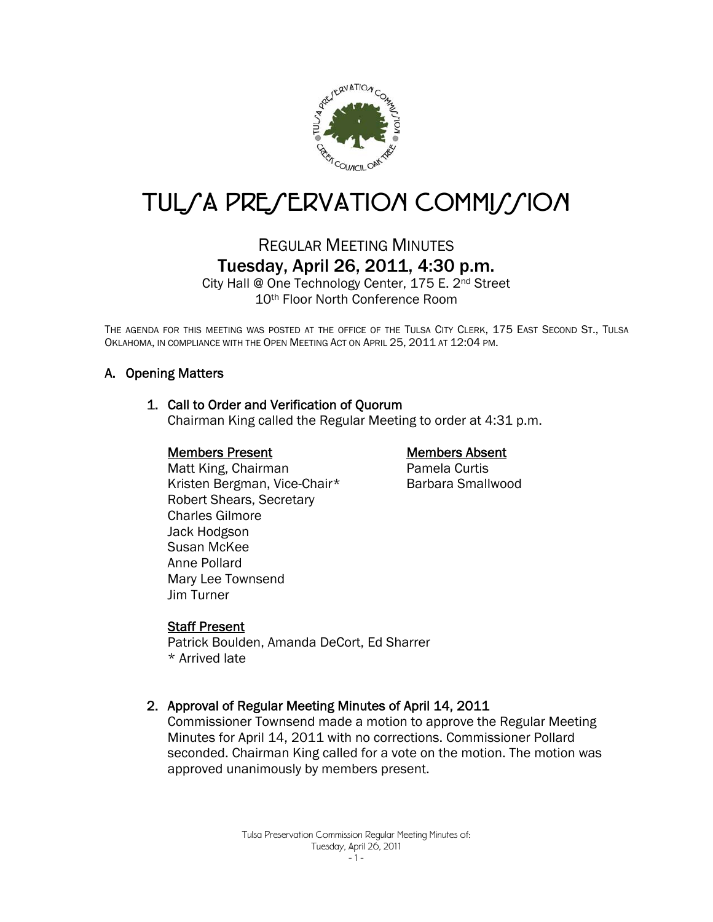

# TUL/A PRE/ERVATION COMMI//ION

# REGULAR MEETING MINUTES Tuesday, April 26, 2011, 4:30 p.m.

City Hall @ One Technology Center, 175 E. 2nd Street 10th Floor North Conference Room

THE AGENDA FOR THIS MEETING WAS POSTED AT THE OFFICE OF THE TULSA CITY CLERK, 175 EAST SECOND ST., TULSA OKLAHOMA, IN COMPLIANCE WITH THE OPEN MEETING ACT ON APRIL 25, 2011 AT 12:04 PM.

# A. Opening Matters

#### 1. Call to Order and Verification of Quorum

Chairman King called the Regular Meeting to order at 4:31 p.m.

#### Members Present

#### Members Absent

Pamela Curtis Barbara Smallwood

Matt King, Chairman Kristen Bergman, Vice-Chair\* Robert Shears, Secretary Charles Gilmore Jack Hodgson Susan McKee Anne Pollard Mary Lee Townsend Jim Turner

#### Staff Present

Patrick Boulden, Amanda DeCort, Ed Sharrer \* Arrived late

# 2. Approval of Regular Meeting Minutes of April 14, 2011

Commissioner Townsend made a motion to approve the Regular Meeting Minutes for April 14, 2011 with no corrections. Commissioner Pollard seconded. Chairman King called for a vote on the motion. The motion was approved unanimously by members present.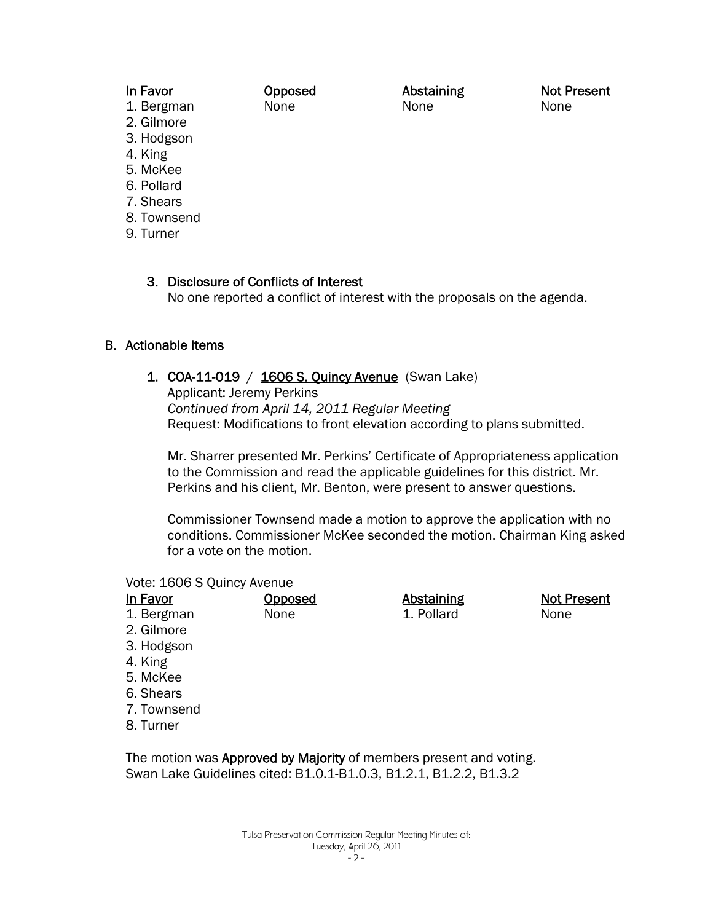## In Favor

1. Bergman

2. Gilmore

- 3. Hodgson
- 4. King
- 5. McKee
- 6. Pollard
- 7. Shears
- 8. Townsend
- 9. Turner

3. Disclosure of Conflicts of Interest No one reported a conflict of interest with the proposals on the agenda.

Abstaining None

# B. Actionable Items

# 1. COA-11-019 / 1606 S. Quincy Avenue (Swan Lake)

Opposed None

Applicant: Jeremy Perkins *Continued from April 14, 2011 Regular Meeting* Request: Modifications to front elevation according to plans submitted.

Mr. Sharrer presented Mr. Perkins' Certificate of Appropriateness application to the Commission and read the applicable guidelines for this district. Mr. Perkins and his client, Mr. Benton, were present to answer questions.

Commissioner Townsend made a motion to approve the application with no conditions. Commissioner McKee seconded the motion. Chairman King asked for a vote on the motion.

#### Vote: 1606 S Quincy Avenue

| In Favor    | <u>Opposed</u> | <b>Abstaining</b> | Not Present |
|-------------|----------------|-------------------|-------------|
| 1. Bergman  | None           | 1. Pollard        | None        |
| 2. Gilmore  |                |                   |             |
| 3. Hodgson  |                |                   |             |
| 4. King     |                |                   |             |
| 5. McKee    |                |                   |             |
| 6. Shears   |                |                   |             |
| 7. Townsend |                |                   |             |

8. Turner

The motion was **Approved by Majority** of members present and voting. Swan Lake Guidelines cited: B1.0.1-B1.0.3, B1.2.1, B1.2.2, B1.3.2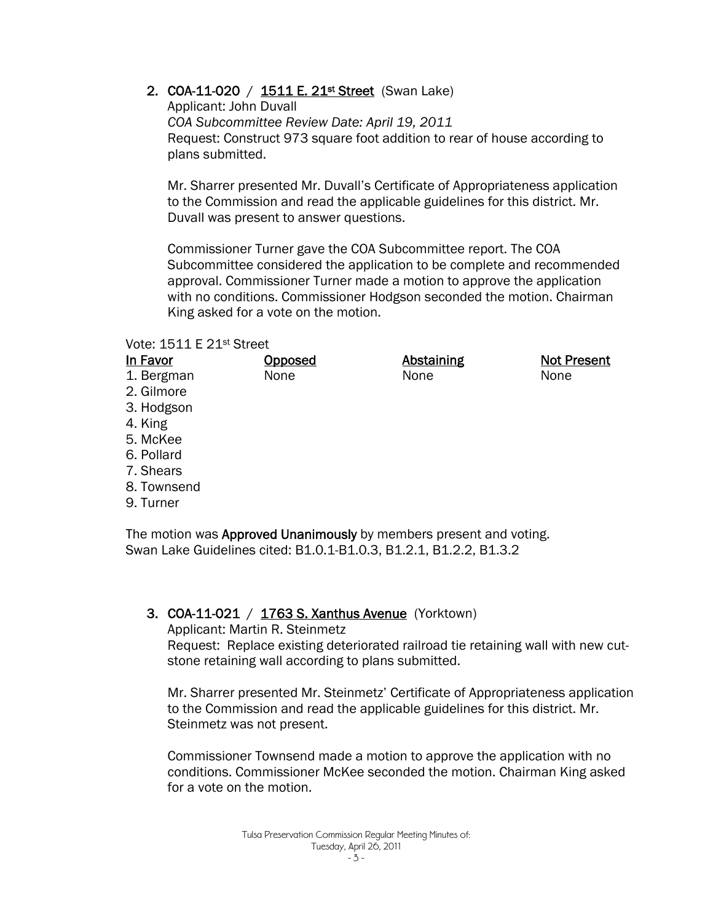# 2. COA-11-020 / 1511 E. 21<sup>st</sup> Street (Swan Lake)

Applicant: John Duvall *COA Subcommittee Review Date: April 19, 2011*  Request: Construct 973 square foot addition to rear of house according to plans submitted.

Mr. Sharrer presented Mr. Duvall's Certificate of Appropriateness application to the Commission and read the applicable guidelines for this district. Mr. Duvall was present to answer questions.

Commissioner Turner gave the COA Subcommittee report. The COA Subcommittee considered the application to be complete and recommended approval. Commissioner Turner made a motion to approve the application with no conditions. Commissioner Hodgson seconded the motion. Chairman King asked for a vote on the motion.

#### Vote: 1511 E 21st Street

| In Favor    | <b>Opposed</b> | <b>Abstaining</b> | <b>Not Present</b> |
|-------------|----------------|-------------------|--------------------|
| 1. Bergman  | None           | None              | None               |
| 2. Gilmore  |                |                   |                    |
| 3. Hodgson  |                |                   |                    |
| 4. King     |                |                   |                    |
| 5. McKee    |                |                   |                    |
| 6. Pollard  |                |                   |                    |
| 7. Shears   |                |                   |                    |
| 8. Townsend |                |                   |                    |
| 9. Turner   |                |                   |                    |
|             |                |                   |                    |

The motion was **Approved Unanimously** by members present and voting. Swan Lake Guidelines cited: B1.0.1-B1.0.3, B1.2.1, B1.2.2, B1.3.2

# 3. COA-11-021 / 1763 S. Xanthus Avenue (Yorktown)

Applicant: Martin R. Steinmetz

Request: Replace existing deteriorated railroad tie retaining wall with new cutstone retaining wall according to plans submitted.

Mr. Sharrer presented Mr. Steinmetz' Certificate of Appropriateness application to the Commission and read the applicable guidelines for this district. Mr. Steinmetz was not present.

Commissioner Townsend made a motion to approve the application with no conditions. Commissioner McKee seconded the motion. Chairman King asked for a vote on the motion.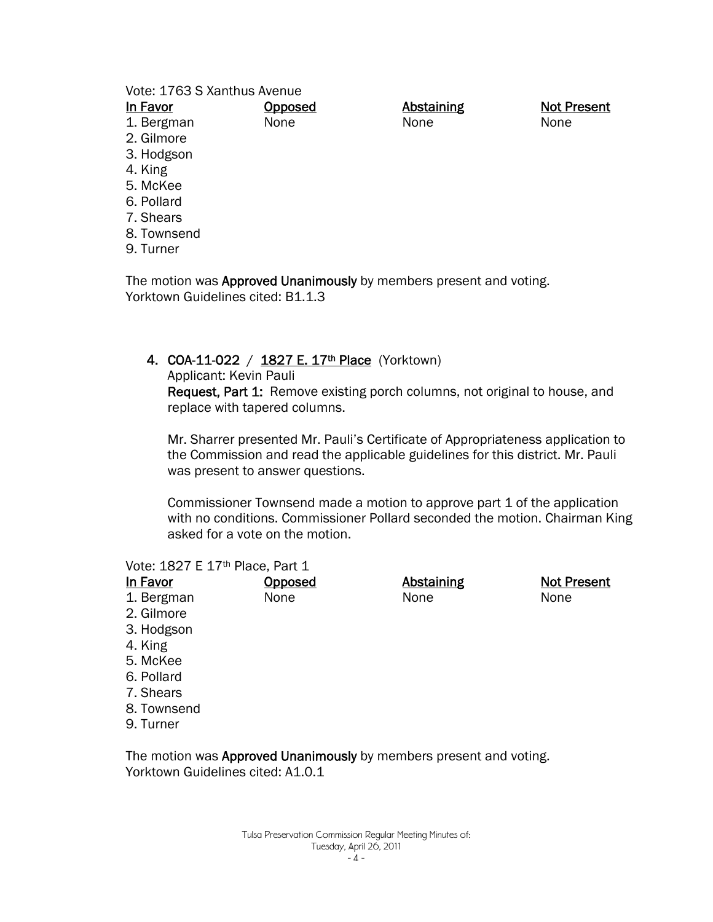#### Vote: 1763 S Xanthus Avenue

| In Favor    | Opposed | <b>Abstaining</b> | <b>Not Present</b> |
|-------------|---------|-------------------|--------------------|
| 1. Bergman  | None    | None              | None               |
| 2. Gilmore  |         |                   |                    |
| 3. Hodgson  |         |                   |                    |
| 4. King     |         |                   |                    |
| 5. McKee    |         |                   |                    |
| 6. Pollard  |         |                   |                    |
| 7. Shears   |         |                   |                    |
| 8. Townsend |         |                   |                    |
| 9. Turner   |         |                   |                    |

The motion was Approved Unanimously by members present and voting. Yorktown Guidelines cited: B1.1.3

#### 4. COA-11-022 / 1827 E. 17<sup>th</sup> Place (Yorktown)

Applicant: Kevin Pauli

Request, Part 1: Remove existing porch columns, not original to house, and replace with tapered columns.

Mr. Sharrer presented Mr. Pauli's Certificate of Appropriateness application to the Commission and read the applicable guidelines for this district. Mr. Pauli was present to answer questions.

Commissioner Townsend made a motion to approve part 1 of the application with no conditions. Commissioner Pollard seconded the motion. Chairman King asked for a vote on the motion.

#### Vote: 1827 E 17<sup>th</sup> Place, Part 1

| In Favor   | <b>Opposed</b> | <b>Abstaining</b> | <b>Not Present</b> |
|------------|----------------|-------------------|--------------------|
| 1. Bergman | None           | None              | None               |
| 2. Gilmore |                |                   |                    |
| 3. Hodgson |                |                   |                    |
| 4. King    |                |                   |                    |
| $F$ Malac  |                |                   |                    |

- 5. McKee
- 6. Pollard
- 7. Shears
- 8. Townsend
- 9. Turner

The motion was Approved Unanimously by members present and voting. Yorktown Guidelines cited: A1.0.1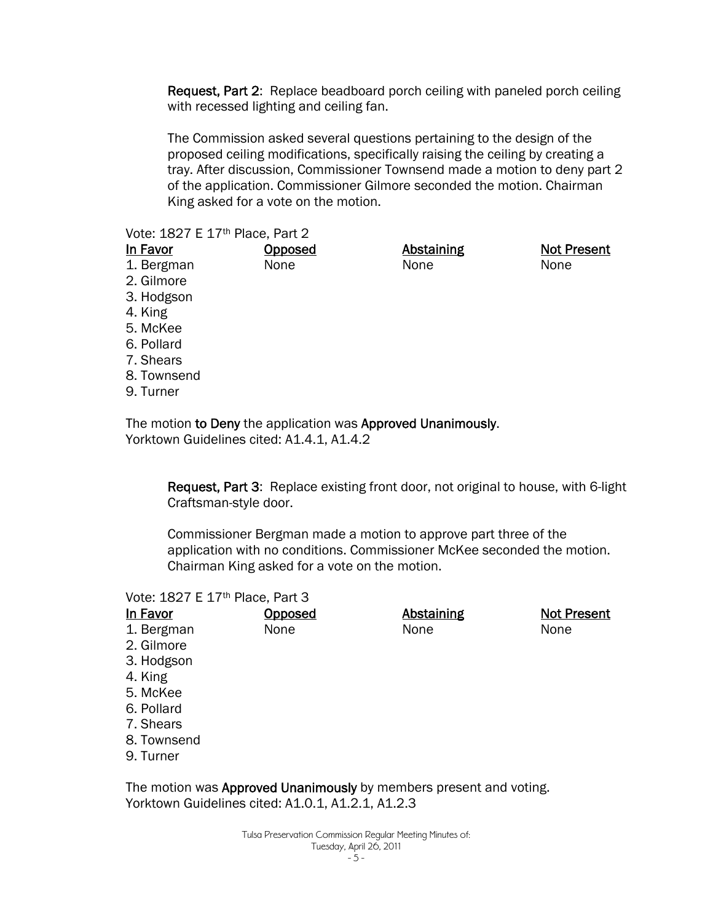Request, Part 2: Replace beadboard porch ceiling with paneled porch ceiling with recessed lighting and ceiling fan.

The Commission asked several questions pertaining to the design of the proposed ceiling modifications, specifically raising the ceiling by creating a tray. After discussion, Commissioner Townsend made a motion to deny part 2 of the application. Commissioner Gilmore seconded the motion. Chairman King asked for a vote on the motion.

#### Vote: 1827 E 17th Place, Part 2

| In Favor    | <b>Opposed</b> | <b>Abstaining</b> | <b>Not Present</b> |
|-------------|----------------|-------------------|--------------------|
| 1. Bergman  | None           | None              | None               |
| 2. Gilmore  |                |                   |                    |
| 3. Hodgson  |                |                   |                    |
| 4. King     |                |                   |                    |
| 5. McKee    |                |                   |                    |
| 6. Pollard  |                |                   |                    |
| 7. Shears   |                |                   |                    |
| 8. Townsend |                |                   |                    |
| 9. Turner   |                |                   |                    |

The motion to Deny the application was Approved Unanimously. Yorktown Guidelines cited: A1.4.1, A1.4.2

> Request, Part 3: Replace existing front door, not original to house, with 6-light Craftsman-style door.

Commissioner Bergman made a motion to approve part three of the application with no conditions. Commissioner McKee seconded the motion. Chairman King asked for a vote on the motion.

#### Vote: 1827 E 17th Place, Part 3

| In Favor    | Opposed | <b>Abstaining</b> | <b>Not Present</b> |
|-------------|---------|-------------------|--------------------|
| 1. Bergman  | None    | None              | None               |
| 2. Gilmore  |         |                   |                    |
| 3. Hodgson  |         |                   |                    |
| 4. King     |         |                   |                    |
| 5. McKee    |         |                   |                    |
| 6. Pollard  |         |                   |                    |
| 7. Shears   |         |                   |                    |
| 8. Townsend |         |                   |                    |
| 9. Turner   |         |                   |                    |

The motion was Approved Unanimously by members present and voting. Yorktown Guidelines cited: A1.0.1, A1.2.1, A1.2.3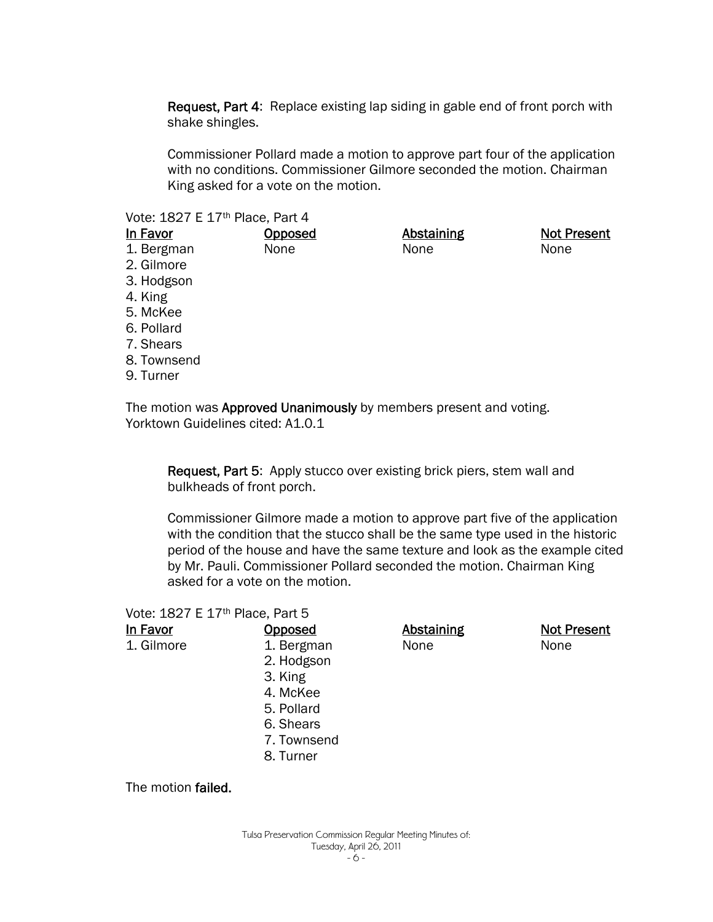Request, Part 4: Replace existing lap siding in gable end of front porch with shake shingles.

Commissioner Pollard made a motion to approve part four of the application with no conditions. Commissioner Gilmore seconded the motion. Chairman King asked for a vote on the motion.

#### Vote: 1827 E 17th Place, Part 4

| In Favor    | <b>Opposed</b> | <b>Abstaining</b> | <b>Not Present</b> |
|-------------|----------------|-------------------|--------------------|
| 1. Bergman  | None           | None              | None               |
| 2. Gilmore  |                |                   |                    |
| 3. Hodgson  |                |                   |                    |
| 4. King     |                |                   |                    |
| 5. McKee    |                |                   |                    |
| 6. Pollard  |                |                   |                    |
| 7. Shears   |                |                   |                    |
| 8. Townsend |                |                   |                    |
| 9. Turner   |                |                   |                    |

The motion was Approved Unanimously by members present and voting. Yorktown Guidelines cited: A1.0.1

Request, Part 5: Apply stucco over existing brick piers, stem wall and bulkheads of front porch.

Commissioner Gilmore made a motion to approve part five of the application with the condition that the stucco shall be the same type used in the historic period of the house and have the same texture and look as the example cited by Mr. Pauli. Commissioner Pollard seconded the motion. Chairman King asked for a vote on the motion.

| Vote: 1827 E 17 <sup>th</sup> Place, Part 5 |  |  |  |  |
|---------------------------------------------|--|--|--|--|
|---------------------------------------------|--|--|--|--|

| In Favor   | <u>Opposed</u> | <b>Abstaining</b> | <b>Not Present</b> |
|------------|----------------|-------------------|--------------------|
| 1. Gilmore | 1. Bergman     | None              | None               |
|            | 2. Hodgson     |                   |                    |
|            | 3. King        |                   |                    |
|            | 4. McKee       |                   |                    |
|            | 5. Pollard     |                   |                    |
|            | 6. Shears      |                   |                    |
|            | 7. Townsend    |                   |                    |
|            | 8. Turner      |                   |                    |

The motion failed.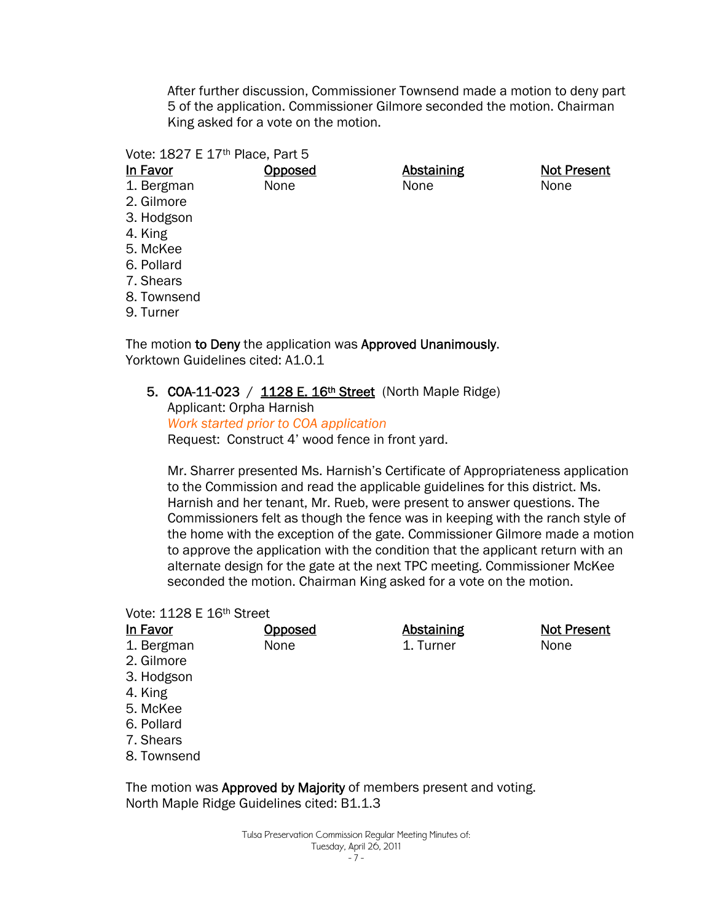After further discussion, Commissioner Townsend made a motion to deny part 5 of the application. Commissioner Gilmore seconded the motion. Chairman King asked for a vote on the motion.

#### Vote: 1827 E 17<sup>th</sup> Place, Part 5

1. Bergman None Abstaining None

Not Present None

- 2. Gilmore 3. Hodgson
- 4. King
- 5. McKee
- 6. Pollard
- 7. Shears
- 8. Townsend
- 9. Turner

The motion to Deny the application was Approved Unanimously. Yorktown Guidelines cited: A1.0.1

Opposed

5. COA-11-023 / 1128 E. 16th Street (North Maple Ridge) Applicant: Orpha Harnish *Work started prior to COA application*

Request: Construct 4' wood fence in front yard.

Mr. Sharrer presented Ms. Harnish's Certificate of Appropriateness application to the Commission and read the applicable guidelines for this district. Ms. Harnish and her tenant, Mr. Rueb, were present to answer questions. The Commissioners felt as though the fence was in keeping with the ranch style of the home with the exception of the gate. Commissioner Gilmore made a motion to approve the application with the condition that the applicant return with an alternate design for the gate at the next TPC meeting. Commissioner McKee seconded the motion. Chairman King asked for a vote on the motion.

#### Vote: 1128 E 16th Street

| In Favor    | <b>Opposed</b> | <b>Abstaining</b> | <b>Not Present</b> |
|-------------|----------------|-------------------|--------------------|
| 1. Bergman  | None           | 1. Turner         | None               |
| 2. Gilmore  |                |                   |                    |
| 3. Hodgson  |                |                   |                    |
| 4. King     |                |                   |                    |
| 5. McKee    |                |                   |                    |
| 6. Pollard  |                |                   |                    |
| 7. Shears   |                |                   |                    |
| 8. Townsend |                |                   |                    |

The motion was Approved by Majority of members present and voting. North Maple Ridge Guidelines cited: B1.1.3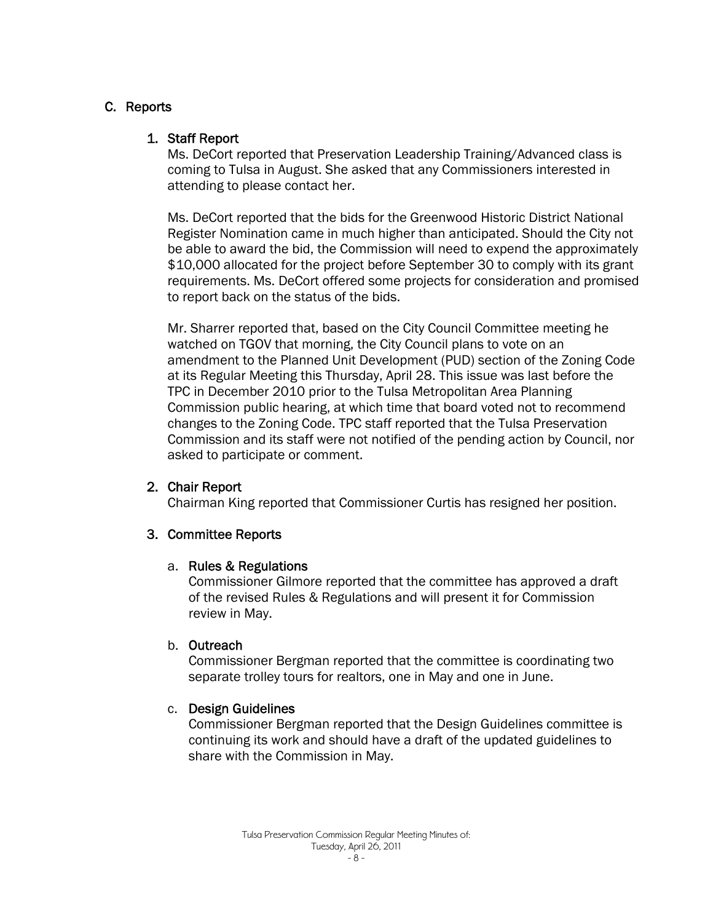# C. Reports

#### 1. Staff Report

Ms. DeCort reported that Preservation Leadership Training/Advanced class is coming to Tulsa in August. She asked that any Commissioners interested in attending to please contact her.

Ms. DeCort reported that the bids for the Greenwood Historic District National Register Nomination came in much higher than anticipated. Should the City not be able to award the bid, the Commission will need to expend the approximately \$10,000 allocated for the project before September 30 to comply with its grant requirements. Ms. DeCort offered some projects for consideration and promised to report back on the status of the bids.

Mr. Sharrer reported that, based on the City Council Committee meeting he watched on TGOV that morning, the City Council plans to vote on an amendment to the Planned Unit Development (PUD) section of the Zoning Code at its Regular Meeting this Thursday, April 28. This issue was last before the TPC in December 2010 prior to the Tulsa Metropolitan Area Planning Commission public hearing, at which time that board voted not to recommend changes to the Zoning Code. TPC staff reported that the Tulsa Preservation Commission and its staff were not notified of the pending action by Council, nor asked to participate or comment.

# 2. Chair Report

Chairman King reported that Commissioner Curtis has resigned her position.

# 3. Committee Reports

#### a. Rules & Regulations

Commissioner Gilmore reported that the committee has approved a draft of the revised Rules & Regulations and will present it for Commission review in May.

#### b. Outreach

Commissioner Bergman reported that the committee is coordinating two separate trolley tours for realtors, one in May and one in June.

#### c. Design Guidelines

Commissioner Bergman reported that the Design Guidelines committee is continuing its work and should have a draft of the updated guidelines to share with the Commission in May.